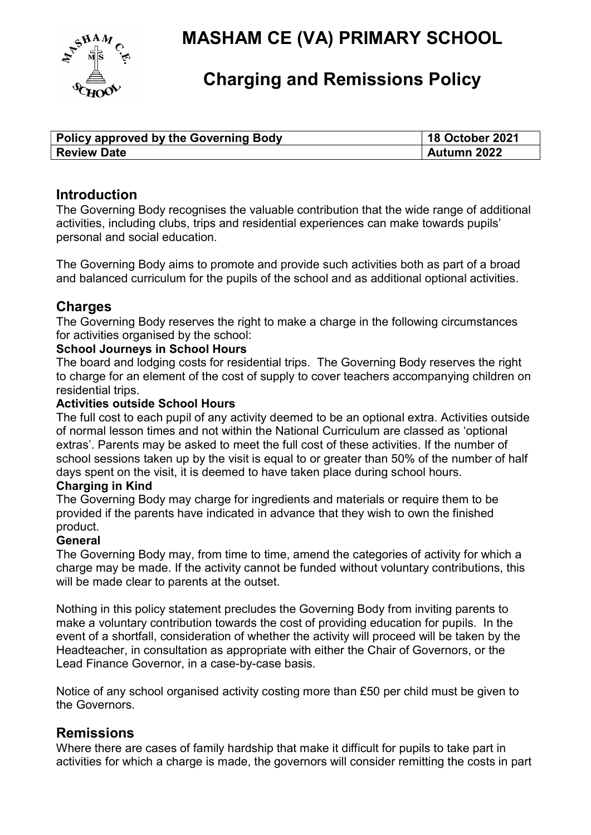

# MASHAM CE (VA) PRIMARY SCHOOL

## Charging and Remissions Policy

| <b>Policy approved by the Governing Body</b> | <b>18 October 2021</b> |
|----------------------------------------------|------------------------|
| <b>Review Date</b>                           | Autumn 2022            |

## Introduction

The Governing Body recognises the valuable contribution that the wide range of additional activities, including clubs, trips and residential experiences can make towards pupils' personal and social education.

The Governing Body aims to promote and provide such activities both as part of a broad and balanced curriculum for the pupils of the school and as additional optional activities.

## **Charges**

The Governing Body reserves the right to make a charge in the following circumstances for activities organised by the school:

#### School Journeys in School Hours

The board and lodging costs for residential trips. The Governing Body reserves the right to charge for an element of the cost of supply to cover teachers accompanying children on residential trips.

#### Activities outside School Hours

The full cost to each pupil of any activity deemed to be an optional extra. Activities outside of normal lesson times and not within the National Curriculum are classed as 'optional extras'. Parents may be asked to meet the full cost of these activities. If the number of school sessions taken up by the visit is equal to or greater than 50% of the number of half days spent on the visit, it is deemed to have taken place during school hours.

#### Charging in Kind

The Governing Body may charge for ingredients and materials or require them to be provided if the parents have indicated in advance that they wish to own the finished product.

#### **General**

The Governing Body may, from time to time, amend the categories of activity for which a charge may be made. If the activity cannot be funded without voluntary contributions, this will be made clear to parents at the outset.

Nothing in this policy statement precludes the Governing Body from inviting parents to make a voluntary contribution towards the cost of providing education for pupils. In the event of a shortfall, consideration of whether the activity will proceed will be taken by the Headteacher, in consultation as appropriate with either the Chair of Governors, or the Lead Finance Governor, in a case-by-case basis.

Notice of any school organised activity costing more than £50 per child must be given to the Governors.

## **Remissions**

Where there are cases of family hardship that make it difficult for pupils to take part in activities for which a charge is made, the governors will consider remitting the costs in part